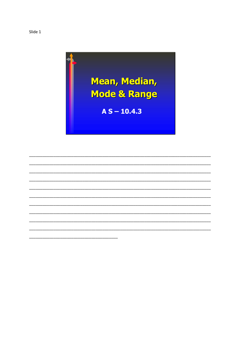

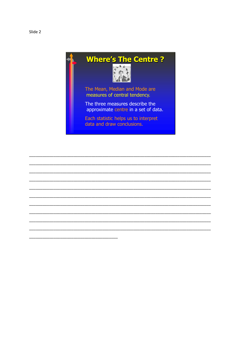



The Mean, Median and Mode are measures of central tendency.

The three measures describe the approximate centre in a set of data.

Each statistic helps us to interpret data and draw conclusions.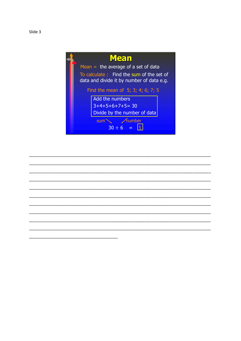



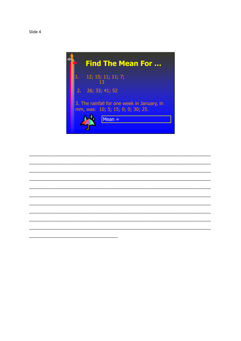



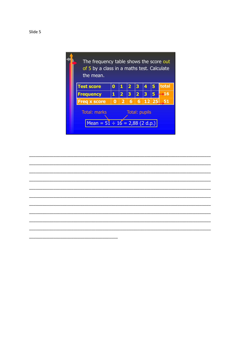

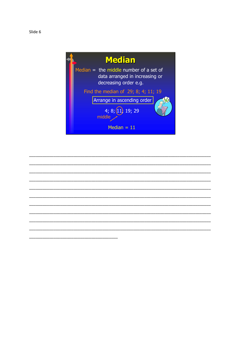



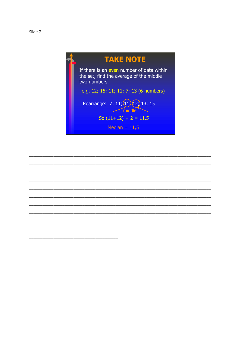

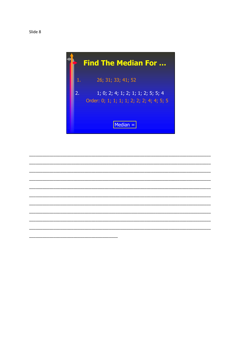



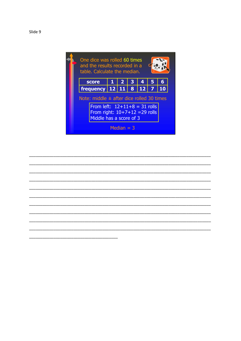

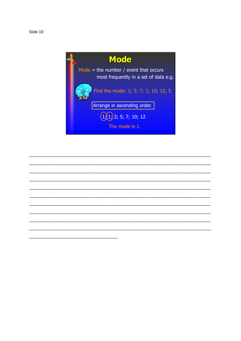Slide 10



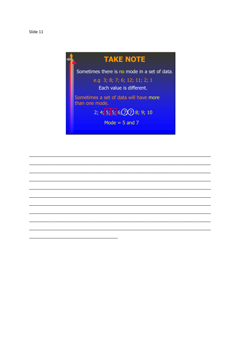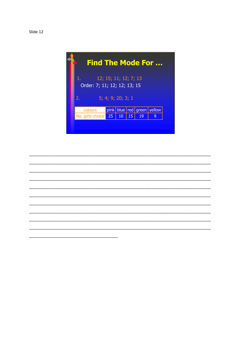|                                                             | <b>Find The Mode For </b> |    |                  |    |    |   |                                                                                |  |
|-------------------------------------------------------------|---------------------------|----|------------------|----|----|---|--------------------------------------------------------------------------------|--|
| 12; 15; 11; 12; 7; 13<br>1.<br>Order: 7; 11; 12; 12; 13; 15 |                           |    |                  |    |    |   |                                                                                |  |
| 5; 4; 9; 20; 3; 1<br>2.                                     |                           |    |                  |    |    |   |                                                                                |  |
|                                                             |                           |    |                  |    |    |   |                                                                                |  |
|                                                             |                           | 25 | 10               | 15 | 19 | 9 |                                                                                |  |
|                                                             |                           |    |                  |    |    |   |                                                                                |  |
|                                                             |                           |    | lo, girls choice |    |    |   | <b>Example:</b> Colours <b>Example 16   pink   blue   red   green   yellow</b> |  |

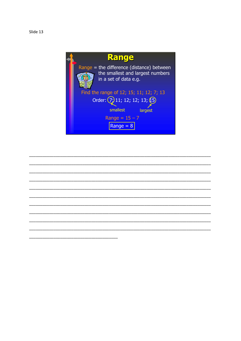

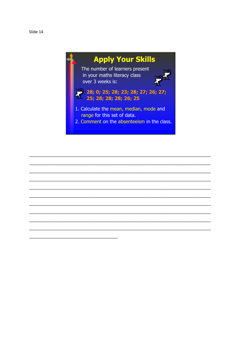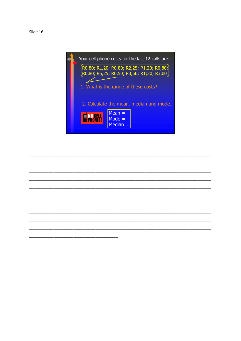Slide 16